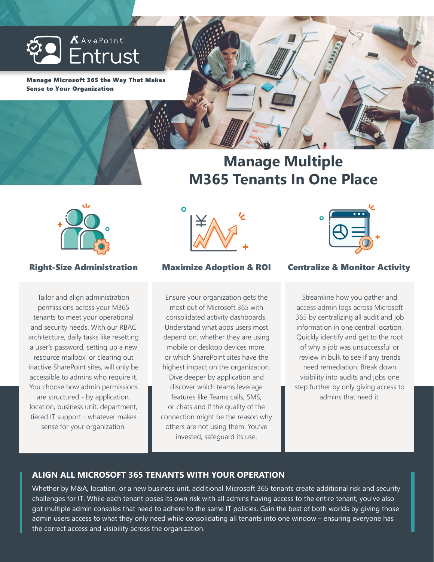

Manage Microsoft 365 the Way That Makes Sense to Your Organization

# **Manage Multiple M365 Tenants In One Place**



Tailor and align administration permissions across your M365 tenants to meet your operational and security needs. With our RBAC architecture, daily tasks like resetting a user's password, setting up a new resource mailbox, or clearing out inactive SharePoint sites, will only be accessible to admins who require it. You choose how admin permissions are structured - by application, location, business unit, department, tiered IT support - whatever makes sense for your organization.



Ensure your organization gets the most out of Microsoft 365 with consolidated activity dashboards. Understand what apps users most depend on, whether they are using mobile or desktop devices more, or which SharePoint sites have the highest impact on the organization. Dive deeper by application and discover which teams leverage features like Teams calls, SMS, or chats and if the quality of the connection might be the reason why others are not using them. You've invested, safeguard its use.



# Right-Size Administration Maximize Adoption & ROI Centralize & Monitor Activity

Streamline how you gather and access admin logs across Microsoft 365 by centralizing all audit and job information in one central location. Quickly identify and get to the root of why a job was unsuccessful or review in bulk to see if any trends need remediation. Break down visibility into audits and jobs one step further by only giving access to admins that need it.

# **ALIGN ALL MICROSOFT 365 TENANTS WITH YOUR OPERATION**

Whether by M&A, location, or a new business unit, additional Microsoft 365 tenants create additional risk and security challenges for IT. While each tenant poses its own risk with all admins having access to the entire tenant, you've also got multiple admin consoles that need to adhere to the same IT policies. Gain the best of both worlds by giving those admin users access to what they only need while consolidating all tenants into one window – ensuring everyone has the correct access and visibility across the organization.